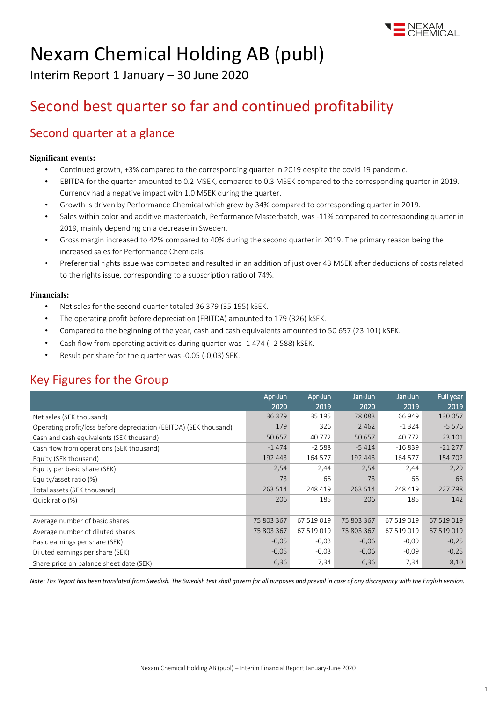

# Nexam Chemical Holding AB (publ)

Interim Report 1 January – 30 June 2020

# Second best quarter so far and continued profitability

## Second quarter at a glance

## **Significant events:**

- Continued growth, +3% compared to the corresponding quarter in 2019 despite the covid 19 pandemic.
- EBITDA for the quarter amounted to 0.2 MSEK, compared to 0.3 MSEK compared to the corresponding quarter in 2019. Currency had a negative impact with 1.0 MSEK during the quarter.
- Growth is driven by Performance Chemical which grew by 34% compared to corresponding quarter in 2019.
- Sales within color and additive masterbatch, Performance Masterbatch, was -11% compared to corresponding quarter in 2019, mainly depending on a decrease in Sweden.
- Gross margin increased to 42% compared to 40% during the second quarter in 2019. The primary reason being the increased sales for Performance Chemicals.
- Preferential rights issue was competed and resulted in an addition of just over 43 MSEK after deductions of costs related to the rights issue, corresponding to a subscription ratio of 74%.

## **Financials:**

- Net sales for the second quarter totaled 36 379 (35 195) kSEK.
- The operating profit before depreciation (EBITDA) amounted to 179 (326) kSEK.
- Compared to the beginning of the year, cash and cash equivalents amounted to 50 657 (23 101) kSEK.
- Cash flow from operating activities during quarter was -1 474 (- 2 588) kSEK.
- Result per share for the quarter was -0,05 (-0,03) SEK.

# Key Figures for the Group

|                                                                   | Apr-Jun    | Apr-Jun    | Jan-Jun    | Jan-Jun    | Full year  |
|-------------------------------------------------------------------|------------|------------|------------|------------|------------|
|                                                                   | 2020       | 2019       | 2020       | 2019       | 2019       |
| Net sales (SEK thousand)                                          | 36 379     | 35 195     | 78 0 83    | 66 949     | 130 057    |
| Operating profit/loss before depreciation (EBITDA) (SEK thousand) | 179        | 326        | 2 4 6 2    | $-1324$    | $-5576$    |
| Cash and cash equivalents (SEK thousand)                          | 50 657     | 40 772     | 50 657     | 40 772     | 23 101     |
| Cash flow from operations (SEK thousand)                          | $-1474$    | $-2588$    | $-5414$    | $-16839$   | $-21277$   |
| Equity (SEK thousand)                                             | 192 443    | 164 577    | 192 443    | 164 577    | 154 702    |
| Equity per basic share (SEK)                                      | 2,54       | 2,44       | 2,54       | 2,44       | 2,29       |
| Equity/asset ratio (%)                                            | 73         | 66         | 73         | 66         | 68         |
| Total assets (SEK thousand)                                       | 263 514    | 248 419    | 263 514    | 248 419    | 227 798    |
| Quick ratio (%)                                                   | 206        | 185        | 206        | 185        | 142        |
|                                                                   |            |            |            |            |            |
| Average number of basic shares                                    | 75 803 367 | 67 519 019 | 75 803 367 | 67 519 019 | 67 519 019 |
| Average number of diluted shares                                  | 75 803 367 | 67 519 019 | 75 803 367 | 67 519 019 | 67 519 019 |
| Basic earnings per share (SEK)                                    | $-0,05$    | $-0,03$    | $-0,06$    | $-0,09$    | $-0,25$    |
| Diluted earnings per share (SEK)                                  | $-0.05$    | $-0.03$    | $-0,06$    | $-0,09$    | $-0,25$    |
| Share price on balance sheet date (SEK)                           | 6,36       | 7,34       | 6,36       | 7,34       | 8,10       |

*Note: Ths Report has been translated from Swedish. The Swedish text shall govern for all purposes and prevail in case of any discrepancy with the English version.*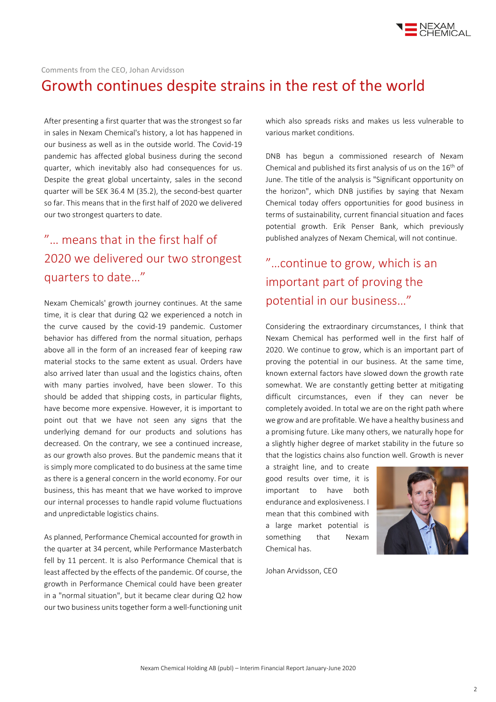

### Comments from the CEO, Johan Arvidsson

# Growth continues despite strains in the rest of the world

After presenting a first quarter that was the strongest so far in sales in Nexam Chemical's history, a lot has happened in our business as well as in the outside world. The Covid-19 pandemic has affected global business during the second quarter, which inevitably also had consequences for us. Despite the great global uncertainty, sales in the second quarter will be SEK 36.4 M (35.2), the second-best quarter so far. This means that in the first half of 2020 we delivered our two strongest quarters to date.

# "… means that in the first half of 2020 we delivered our two strongest quarters to date…"

Nexam Chemicals' growth journey continues. At the same time, it is clear that during Q2 we experienced a notch in the curve caused by the covid-19 pandemic. Customer behavior has differed from the normal situation, perhaps above all in the form of an increased fear of keeping raw material stocks to the same extent as usual. Orders have also arrived later than usual and the logistics chains, often with many parties involved, have been slower. To this should be added that shipping costs, in particular flights, have become more expensive. However, it is important to point out that we have not seen any signs that the underlying demand for our products and solutions has decreased. On the contrary, we see a continued increase, as our growth also proves. But the pandemic means that it is simply more complicated to do business at the same time as there is a general concern in the world economy. For our business, this has meant that we have worked to improve our internal processes to handle rapid volume fluctuations and unpredictable logistics chains.

As planned, Performance Chemical accounted for growth in the quarter at 34 percent, while Performance Masterbatch fell by 11 percent. It is also Performance Chemical that is least affected by the effects of the pandemic. Of course, the growth in Performance Chemical could have been greater in a "normal situation", but it became clear during Q2 how our two business units together form a well-functioning unit

which also spreads risks and makes us less vulnerable to various market conditions.

DNB has begun a commissioned research of Nexam Chemical and published its first analysis of us on the 16<sup>th</sup> of June. The title of the analysis is "Significant opportunity on the horizon", which DNB justifies by saying that Nexam Chemical today offers opportunities for good business in terms of sustainability, current financial situation and faces potential growth. Erik Penser Bank, which previously published analyzes of Nexam Chemical, will not continue.

# "…continue to grow, which is an important part of proving the potential in our business…"

Considering the extraordinary circumstances, I think that Nexam Chemical has performed well in the first half of 2020. We continue to grow, which is an important part of proving the potential in our business. At the same time, known external factors have slowed down the growth rate somewhat. We are constantly getting better at mitigating difficult circumstances, even if they can never be completely avoided. In total we are on the right path where we grow and are profitable. We have a healthy business and a promising future. Like many others, we naturally hope for a slightly higher degree of market stability in the future so that the logistics chains also function well. Growth is never

a straight line, and to create good results over time, it is important to have both endurance and explosiveness. I mean that this combined with a large market potential is something that Nexam Chemical has.

Johan Arvidsson, CEO

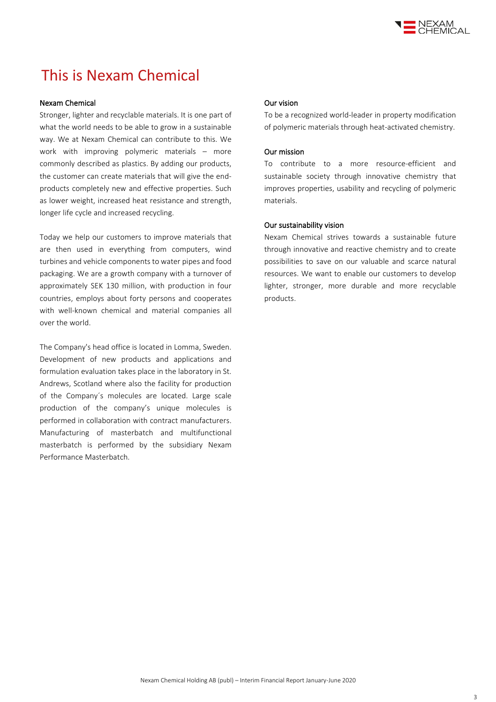

# This is Nexam Chemical

#### Nexam Chemical

Stronger, lighter and recyclable materials. It is one part of what the world needs to be able to grow in a sustainable way. We at Nexam Chemical can contribute to this. We work with improving polymeric materials – more commonly described as plastics. By adding our products, the customer can create materials that will give the endproducts completely new and effective properties. Such as lower weight, increased heat resistance and strength, longer life cycle and increased recycling.

Today we help our customers to improve materials that are then used in everything from computers, wind turbines and vehicle components to water pipes and food packaging. We are a growth company with a turnover of approximately SEK 130 million, with production in four countries, employs about forty persons and cooperates with well-known chemical and material companies all over the world.

The Company's head office is located in Lomma, Sweden. Development of new products and applications and formulation evaluation takes place in the laboratory in St. Andrews, Scotland where also the facility for production of the Company´s molecules are located. Large scale production of the company's unique molecules is performed in collaboration with contract manufacturers. Manufacturing of masterbatch and multifunctional masterbatch is performed by the subsidiary Nexam Performance Masterbatch.

#### Our vision

To be a recognized world-leader in property modification of polymeric materials through heat-activated chemistry.

### Our mission

To contribute to a more resource-efficient and sustainable society through innovative chemistry that improves properties, usability and recycling of polymeric materials.

## Our sustainability vision

Nexam Chemical strives towards a sustainable future through innovative and reactive chemistry and to create possibilities to save on our valuable and scarce natural resources. We want to enable our customers to develop lighter, stronger, more durable and more recyclable products.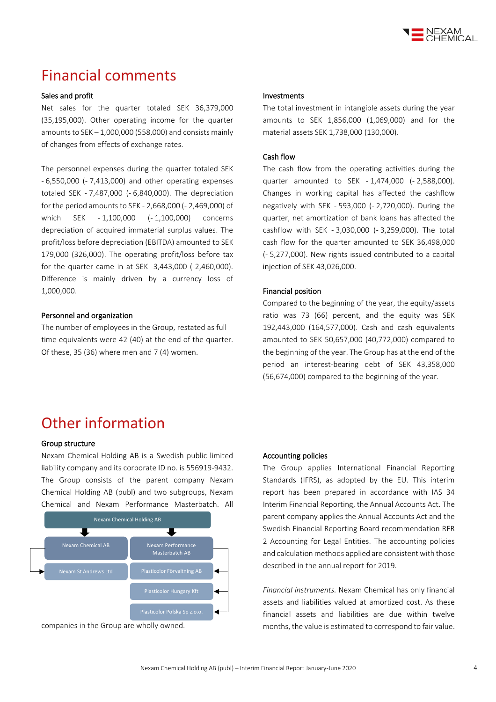

# Financial comments

### Sales and profit

Net sales for the quarter totaled SEK 36,379,000 (35,195,000). Other operating income for the quarter amounts to  $SEK - 1,000,000$  (558,000) and consists mainly of changes from effects of exchange rates.

The personnel expenses during the quarter totaled SEK - 6,550,000 (- 7,413,000) and other operating expenses totaled SEK - 7,487,000 (- 6,840,000). The depreciation for the period amounts to SEK - 2,668,000 (- 2,469,000) of which SEK - 1,100,000 (- 1,100,000) concerns depreciation of acquired immaterial surplus values. The profit/loss before depreciation (EBITDA) amounted to SEK 179,000 (326,000). The operating profit/loss before tax for the quarter came in at SEK -3,443,000 (-2,460,000). Difference is mainly driven by a currency loss of 1,000,000.

#### Personnel and organization

The number of employees in the Group, restated as full time equivalents were 42 (40) at the end of the quarter. Of these, 35 (36) where men and 7 (4) women.

#### Investments

The total investment in intangible assets during the year amounts to SEK 1,856,000 (1,069,000) and for the material assets SEK 1,738,000 (130,000).

#### Cash flow

The cash flow from the operating activities during the quarter amounted to SEK - 1,474,000 (- 2,588,000). Changes in working capital has affected the cashflow negatively with SEK - 593,000 (- 2,720,000). During the quarter, net amortization of bank loans has affected the cashflow with SEK - 3,030,000 (- 3,259,000). The total cash flow for the quarter amounted to SEK 36,498,000 (- 5,277,000). New rights issued contributed to a capital injection of SEK 43,026,000.

#### Financial position

Compared to the beginning of the year, the equity/assets ratio was 73 (66) percent, and the equity was SEK 192,443,000 (164,577,000). Cash and cash equivalents amounted to SEK 50,657,000 (40,772,000) compared to the beginning of the year. The Group has at the end of the period an interest-bearing debt of SEK 43,358,000 (56,674,000) compared to the beginning of the year.

# Other information

### Group structure

Nexam Chemical Holding AB is a Swedish public limited liability company and its corporate ID no. is 556919-9432. The Group consists of the parent company Nexam Chemical Holding AB (publ) and two subgroups, Nexam Chemical and Nexam Performance Masterbatch. All



companies in the Group are wholly owned.

#### Accounting policies

The Group applies International Financial Reporting Standards (IFRS), as adopted by the EU. This interim report has been prepared in accordance with IAS 34 Interim Financial Reporting, the Annual Accounts Act. The parent company applies the Annual Accounts Act and the Swedish Financial Reporting Board recommendation RFR 2 Accounting for Legal Entities. The accounting policies and calculation methods applied are consistent with those described in the annual report for 2019.

*Financial instruments.* Nexam Chemical has only financial assets and liabilities valued at amortized cost. As these financial assets and liabilities are due within twelve months, the value is estimated to correspond to fair value.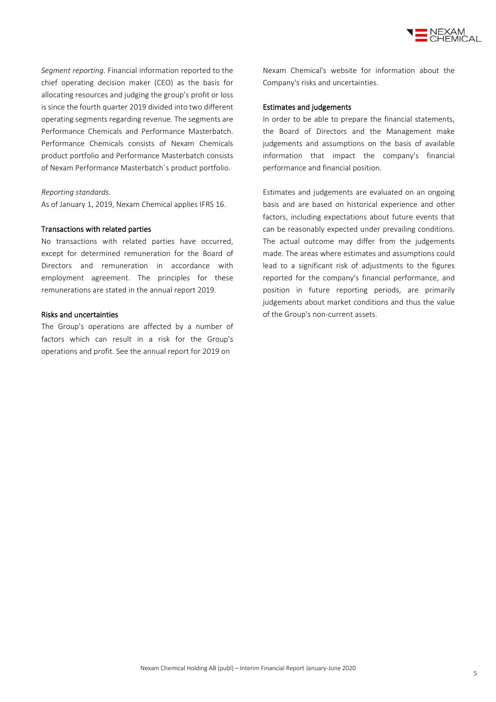

*Segment reporting.* Financial information reported to the chief operating decision maker (CEO) as the basis for allocating resources and judging the group's profit or loss is since the fourth quarter 2019 divided into two different operating segments regarding revenue. The segments are Performance Chemicals and Performance Masterbatch. Performance Chemicals consists of Nexam Chemicals product portfolio and Performance Masterbatch consists of Nexam Performance Masterbatch´s product portfolio.

#### *Reporting standards.*

As of January 1, 2019, Nexam Chemical applies IFRS 16.

#### Transactions with related parties

No transactions with related parties have occurred, except for determined remuneration for the Board of Directors and remuneration in accordance with employment agreement. The principles for these remunerations are stated in the annual report 2019.

### Risks and uncertainties

The Group's operations are affected by a number of factors which can result in a risk for the Group's operations and profit. See the annual report for 2019 on

Nexam Chemical's website for information about the Company's risks and uncertainties.

#### Estimates and judgements

In order to be able to prepare the financial statements, the Board of Directors and the Management make judgements and assumptions on the basis of available information that impact the company's financial performance and financial position.

Estimates and judgements are evaluated on an ongoing basis and are based on historical experience and other factors, including expectations about future events that can be reasonably expected under prevailing conditions. The actual outcome may differ from the judgements made. The areas where estimates and assumptions could lead to a significant risk of adjustments to the figures reported for the company's financial performance, and position in future reporting periods, are primarily judgements about market conditions and thus the value of the Group's non-current assets.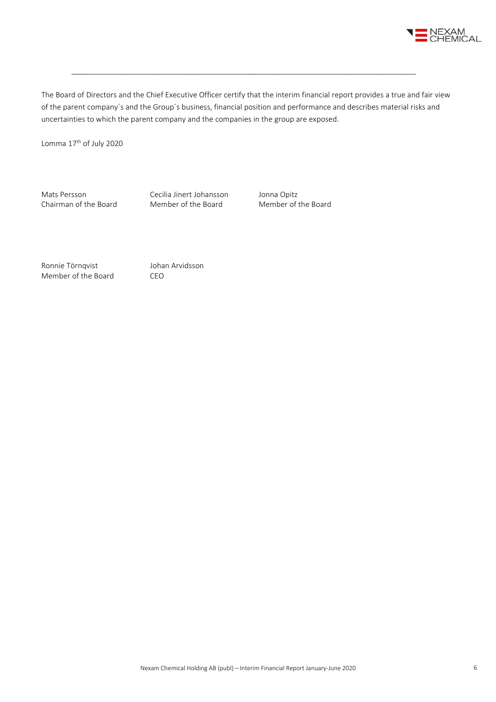

The Board of Directors and the Chief Executive Officer certify that the interim financial report provides a true and fair view of the parent company´s and the Group´s business, financial position and performance and describes material risks and uncertainties to which the parent company and the companies in the group are exposed.

\_\_\_\_\_\_\_\_\_\_\_\_\_\_\_\_\_\_\_\_\_\_\_\_\_\_\_\_\_\_\_\_\_\_\_\_\_\_\_\_\_\_\_\_\_\_\_\_\_\_\_\_\_\_\_\_\_\_\_\_\_\_\_\_\_\_\_\_\_\_\_\_\_\_\_\_\_\_\_\_\_\_\_

Lomma 17th of July 2020

Mats Persson Cecilia Jinert Johansson Jonna Opitz<br>
Chairman of the Board Member of the Board Member of the Board Chairman of the Board

Ronnie Törnqvist Johan Arvidsson Member of the Board CEO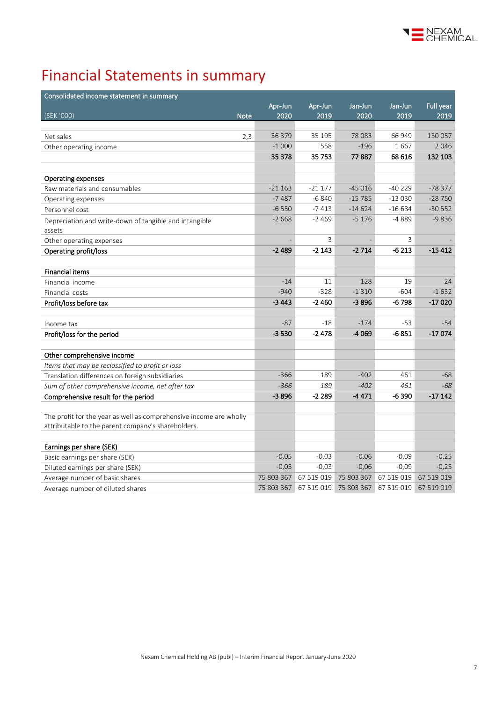

# Financial Statements in summary

| Consolidated income statement in summary                           |            |            |            |            |            |
|--------------------------------------------------------------------|------------|------------|------------|------------|------------|
|                                                                    | Apr-Jun    | Apr-Jun    | Jan-Jun    | Jan-Jun    | Full year  |
| (SEK '000)<br><b>Note</b>                                          | 2020       | 2019       | 2020       | 2019       | 2019       |
|                                                                    |            |            |            |            |            |
| Net sales<br>2,3                                                   | 36 379     | 35 195     | 78 0 83    | 66 949     | 130 057    |
| Other operating income                                             | $-1000$    | 558        | $-196$     | 1667       | 2046       |
|                                                                    | 35 378     | 35 753     | 77887      | 68 616     | 132 103    |
|                                                                    |            |            |            |            |            |
| <b>Operating expenses</b>                                          |            |            |            |            |            |
| Raw materials and consumables                                      | $-21163$   | $-21177$   | $-45016$   | -40 229    | $-78377$   |
| Operating expenses                                                 | $-7487$    | $-6840$    | $-15785$   | $-13030$   | $-28750$   |
| Personnel cost                                                     | $-6550$    | $-7413$    | $-14624$   | $-16684$   | $-30552$   |
| Depreciation and write-down of tangible and intangible             | $-2668$    | $-2469$    | $-5176$    | $-4889$    | $-9836$    |
| assets                                                             |            |            |            |            |            |
| Other operating expenses                                           |            | 3          |            | 3          |            |
| Operating profit/loss                                              | $-2489$    | $-2143$    | $-2714$    | $-6213$    | $-15412$   |
|                                                                    |            |            |            |            |            |
| <b>Financial items</b>                                             |            |            |            |            |            |
| Financial income                                                   | $-14$      | 11         | 128        | 19         | 24         |
| Financial costs                                                    | $-940$     | $-328$     | $-1310$    | $-604$     | $-1632$    |
| Profit/loss before tax                                             | $-3443$    | -2460      | $-3896$    | $-6798$    | $-17020$   |
|                                                                    |            |            |            |            |            |
| Income tax                                                         | $-87$      | $-18$      | $-174$     | $-53$      | $-54$      |
| Profit/loss for the period                                         | $-3530$    | -2478      | $-4069$    | $-6851$    | $-17074$   |
|                                                                    |            |            |            |            |            |
| Other comprehensive income                                         |            |            |            |            |            |
| Items that may be reclassified to profit or loss                   |            |            |            |            |            |
| Translation differences on foreign subsidiaries                    | $-366$     | 189        | $-402$     | 461        | $-68$      |
| Sum of other comprehensive income, net after tax                   | $-366$     | 189        | $-402$     | 461        | $-68$      |
| Comprehensive result for the period                                | $-3896$    | -2 289     | -4471      | -6390      | $-17142$   |
|                                                                    |            |            |            |            |            |
| The profit for the year as well as comprehensive income are wholly |            |            |            |            |            |
| attributable to the parent company's shareholders.                 |            |            |            |            |            |
|                                                                    |            |            |            |            |            |
| Earnings per share (SEK)                                           |            |            |            |            |            |
| Basic earnings per share (SEK)                                     | $-0,05$    | $-0,03$    | $-0,06$    | $-0,09$    | $-0,25$    |
| Diluted earnings per share (SEK)                                   | $-0,05$    | $-0,03$    | $-0,06$    | $-0,09$    | $-0,25$    |
| Average number of basic shares                                     | 75 803 367 | 67 519 019 | 75 803 367 | 67 519 019 | 67 519 019 |
| Average number of diluted shares                                   | 75 803 367 | 67 519 019 | 75 803 367 | 67 519 019 | 67 519 019 |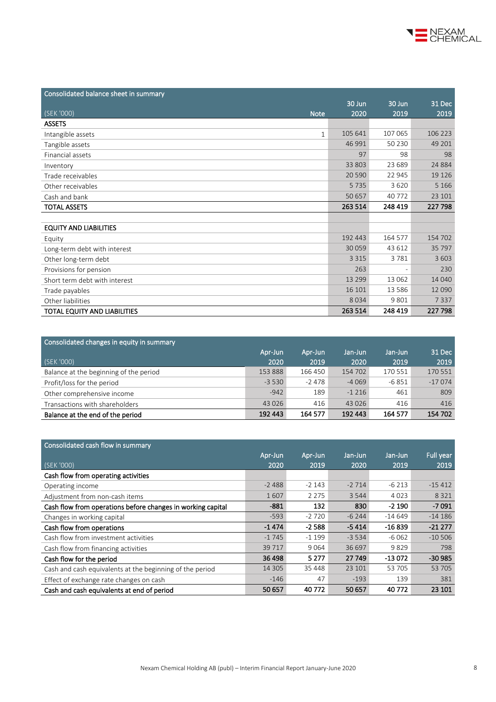

| Consolidated balance sheet in summary |         |          |         |
|---------------------------------------|---------|----------|---------|
|                                       | 30 Jun  | $30$ Jun | 31 Dec  |
| (SEK '000)<br><b>Note</b>             | 2020    | 2019     | 2019    |
| <b>ASSETS</b>                         |         |          |         |
| Intangible assets<br>$\mathbf{1}$     | 105 641 | 107 065  | 106 223 |
| Tangible assets                       | 46 991  | 50 230   | 49 201  |
| Financial assets                      | 97      | 98       | 98      |
| Inventory                             | 33 803  | 23 689   | 24 8 84 |
| Trade receivables                     | 20 590  | 22 945   | 19 1 26 |
| Other receivables                     | 5735    | 3620     | 5 1 6 6 |
| Cash and bank                         | 50 657  | 40 772   | 23 101  |
| <b>TOTAL ASSETS</b>                   | 263 514 | 248 419  | 227 798 |
|                                       |         |          |         |
| <b>EQUITY AND LIABILITIES</b>         |         |          |         |
| Equity                                | 192 443 | 164 577  | 154 702 |
| Long-term debt with interest          | 30 059  | 43 612   | 35 797  |
| Other long-term debt                  | 3 3 1 5 | 3781     | 3 6 0 3 |
| Provisions for pension                | 263     |          | 230     |
| Short term debt with interest         | 13 299  | 13 062   | 14 040  |
| Trade payables                        | 16 10 1 | 13 5 8 6 | 12 090  |
| Other liabilities                     | 8034    | 9 8 0 1  | 7337    |
| TOTAL EQUITY AND LIABILITIES          | 263 514 | 248 419  | 227 798 |

| Consolidated changes in equity in summary |         |         |         |         |          |
|-------------------------------------------|---------|---------|---------|---------|----------|
|                                           | Apr-Jun | Apr-Jun | Jan-Jun | Jan-Jun | 31 Dec   |
| (SEK '000)                                | 2020    | 2019    | 2020    | 2019    | 2019     |
| Balance at the beginning of the period    | 153 888 | 166 450 | 154 702 | 170 551 | 170 551  |
| Profit/loss for the period                | $-3530$ | $-2478$ | $-4069$ | -6 851  | $-17074$ |
| Other comprehensive income                | $-942$  | 189     | $-1216$ | 461     | 809      |
| Transactions with shareholders            | 43 0 26 | 416     | 43 0 26 | 416     | 416      |
| Balance at the end of the period          | 192 443 | 164 577 | 192 443 | 164 577 | 154 702  |

| Consolidated cash flow in summary                           |          |         |          |          |           |
|-------------------------------------------------------------|----------|---------|----------|----------|-----------|
|                                                             | Apr-Jun  | Apr-Jun | Jan-Jun  | Jan-Jun  | Full year |
| (SEK '000)                                                  | 2020     | 2019    | 2020     | 2019     | 2019      |
| Cash flow from operating activities                         |          |         |          |          |           |
| Operating income                                            | $-2488$  | $-2143$ | $-2714$  | $-6213$  | $-15412$  |
| Adjustment from non-cash items                              | 1607     | 2 2 7 5 | 3 5 4 4  | 4023     | 8 3 2 1   |
| Cash flow from operations before changes in working capital | $-881$   | 132     | 830      | $-2190$  | $-7091$   |
| Changes in working capital                                  | $-593$   | $-2720$ | $-6244$  | $-14649$ | $-14186$  |
| Cash flow from operations                                   | $-1474$  | $-2588$ | $-5414$  | $-16839$ | $-21277$  |
| Cash flow from investment activities                        | $-1745$  | $-1199$ | $-3.534$ | $-6062$  | $-10,506$ |
| Cash flow from financing activities                         | 39717    | 9064    | 36 697   | 9829     | 798       |
| Cash flow for the period                                    | 36 498   | 5 2 7 7 | 27 749   | -13 072  | $-30985$  |
| Cash and cash equivalents at the beginning of the period    | 14 3 0 5 | 35 448  | 23 101   | 53 705   | 53 705    |
| Effect of exchange rate changes on cash                     | $-146$   | 47      | $-193$   | 139      | 381       |
| Cash and cash equivalents at end of period                  | 50 657   | 40772   | 50 657   | 40772    | 23 10 1   |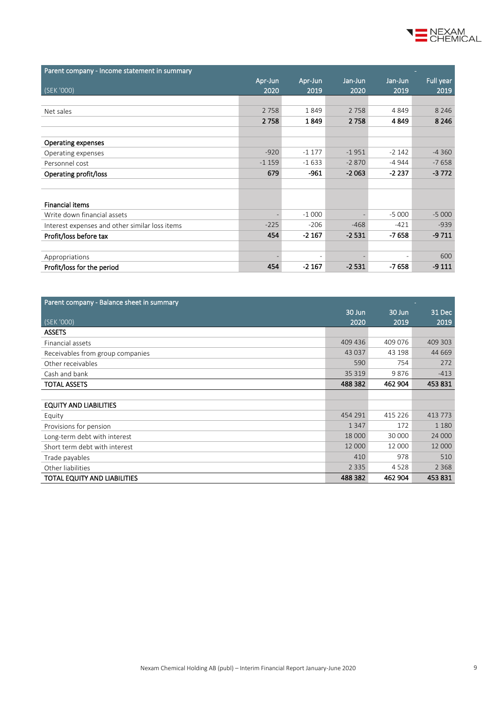

| Parent company - Income statement in summary   |         |                          |         |                          |           |
|------------------------------------------------|---------|--------------------------|---------|--------------------------|-----------|
|                                                | Apr-Jun | Apr-Jun                  | Jan-Jun | Jan-Jun                  | Full year |
| (SEK '000)                                     | 2020    | 2019                     | 2020    | 2019                     | 2019      |
|                                                |         |                          |         |                          |           |
| Net sales                                      | 2 7 5 8 | 1849                     | 2 7 5 8 | 4849                     | 8 2 4 6   |
|                                                | 2758    | 1849                     | 2758    | 4849                     | 8 2 4 6   |
|                                                |         |                          |         |                          |           |
| Operating expenses                             |         |                          |         |                          |           |
| Operating expenses                             | $-920$  | $-1177$                  | $-1951$ | $-2142$                  | $-4360$   |
| Personnel cost                                 | $-1159$ | $-1633$                  | $-2870$ | -4 944                   | $-7658$   |
| Operating profit/loss                          | 679     | $-961$                   | $-2063$ | -2 237                   | $-3772$   |
|                                                |         |                          |         |                          |           |
|                                                |         |                          |         |                          |           |
| <b>Financial items</b>                         |         |                          |         |                          |           |
| Write down financial assets                    |         | $-1000$                  |         | $-5000$                  | $-5000$   |
| Interest expenses and other similar loss items | $-225$  | $-206$                   | $-468$  | $-421$                   | $-939$    |
| Profit/loss before tax                         | 454     | $-2167$                  | $-2531$ | $-7658$                  | $-9711$   |
|                                                |         |                          |         |                          |           |
| Appropriations                                 |         | $\overline{\phantom{0}}$ |         | $\overline{\phantom{0}}$ | 600       |
| Profit/loss for the period                     | 454     | $-2167$                  | $-2531$ | $-7658$                  | $-9111$   |

| Parent company - Balance sheet in summary |         |          | $\equiv$ |
|-------------------------------------------|---------|----------|----------|
|                                           | 30 Jun  | $30$ Jun | 31 Dec   |
| (SEK '000)                                | 2020    | 2019     | 2019     |
| <b>ASSETS</b>                             |         |          |          |
| Financial assets                          | 409 436 | 409 076  | 409 303  |
| Receivables from group companies          | 43 037  | 43 198   | 44 669   |
| Other receivables                         | 590     | 754      | 272      |
| Cash and bank                             | 35 319  | 9876     | $-413$   |
| <b>TOTAL ASSETS</b>                       | 488 382 | 462 904  | 453831   |
|                                           |         |          |          |
| <b>EQUITY AND LIABILITIES</b>             |         |          |          |
| Equity                                    | 454 291 | 415 226  | 413 773  |
| Provisions for pension                    | 1 3 4 7 | 172      | 1 1 8 0  |
| Long-term debt with interest              | 18 000  | 30 000   | 24 000   |
| Short term debt with interest             | 12 000  | 12 000   | 12 000   |
| Trade payables                            | 410     | 978      | 510      |
| Other liabilities                         | 2 3 3 5 | 4528     | 2 3 6 8  |
| TOTAL EQUITY AND LIABILITIES              | 488 382 | 462 904  | 453 831  |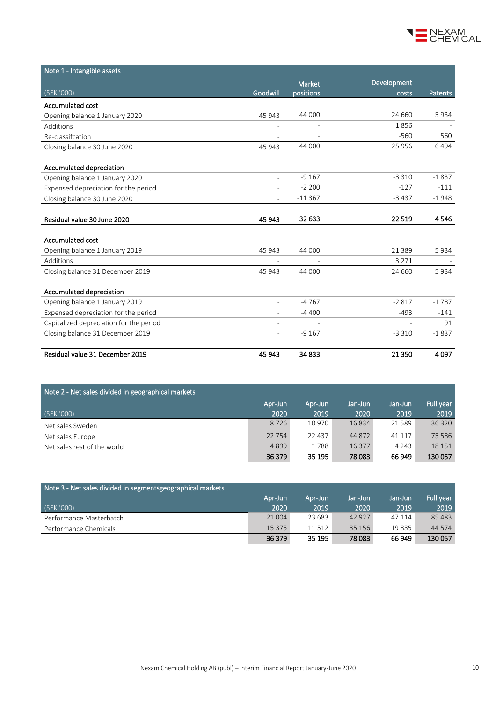

| Note 1 - Intangible assets              |                          |                          |             |         |
|-----------------------------------------|--------------------------|--------------------------|-------------|---------|
|                                         |                          | <b>Market</b>            | Development |         |
| (SEK '000)                              | Goodwill                 | positions                | costs       | Patents |
| Accumulated cost                        |                          |                          |             |         |
| Opening balance 1 January 2020          | 45 943                   | 44 000                   | 24 660      | 5934    |
| Additions                               | $\overline{\phantom{a}}$ | $\overline{\phantom{a}}$ | 1856        |         |
| Re-classifcation                        |                          |                          | $-560$      | 560     |
| Closing balance 30 June 2020            | 45 943                   | 44 000                   | 25 956      | 6494    |
|                                         |                          |                          |             |         |
| Accumulated depreciation                |                          |                          |             |         |
| Opening balance 1 January 2020          | $\overline{a}$           | $-9167$                  | $-3310$     | $-1837$ |
| Expensed depreciation for the period    |                          | $-2200$                  | $-127$      | $-111$  |
| Closing balance 30 June 2020            |                          | $-11367$                 | $-3437$     | $-1948$ |
|                                         |                          |                          |             |         |
| Residual value 30 June 2020             | 45 943                   | 32 633                   | 22 5 19     | 4546    |
|                                         |                          |                          |             |         |
| <b>Accumulated cost</b>                 |                          |                          |             |         |
| Opening balance 1 January 2019          | 45 943                   | 44 000                   | 21 3 8 9    | 5934    |
| Additions                               |                          |                          | 3 2 7 1     |         |
| Closing balance 31 December 2019        | 45 943                   | 44 000                   | 24 660      | 5934    |
| Accumulated depreciation                |                          |                          |             |         |
| Opening balance 1 January 2019          | $\overline{\phantom{0}}$ | $-4767$                  | $-2817$     | $-1787$ |
| Expensed depreciation for the period    |                          | $-4400$                  | $-493$      | $-141$  |
| Capitalized depreciation for the period |                          |                          |             | 91      |
| Closing balance 31 December 2019        | $\overline{\phantom{0}}$ | $-9167$                  | $-3310$     | $-1837$ |
| Residual value 31 December 2019         |                          |                          |             |         |
|                                         | 45 943                   | 34 833                   | 21 3 50     | 4097    |

| Note 2 - Net sales divided in geographical markets |         |          |         |         |           |  |  |
|----------------------------------------------------|---------|----------|---------|---------|-----------|--|--|
|                                                    | Apr-Jun | Apr-Jun  | Jan-Jun | Jan-Jun | Full year |  |  |
| (SEK '000)                                         | 2020    | 2019     | 2020    | 2019    | 2019      |  |  |
| Net sales Sweden                                   | 8726    | 10 970   | 16 8 34 | 21589   | 36 320    |  |  |
| Net sales Europe                                   | 22 7 54 | 22 4 3 7 | 44 872  | 41 117  | 75 5 86   |  |  |
| Net sales rest of the world                        | 4899    | 1788     | 16 377  | 4 2 4 3 | 18 15 1   |  |  |
|                                                    | 36 379  | 35 195   | 78 0 83 | 66 949  | 130 057   |  |  |

| Note 3 - Net sales divided in segmentsgeographical markets |          |         |         |         |                         |
|------------------------------------------------------------|----------|---------|---------|---------|-------------------------|
|                                                            | Apr-Jun  | Apr-Jun | Jan-Jun | Jan-Jun | 'Full year <sub>i</sub> |
| (SEK '000)                                                 | 2020     | 2019    | 2020    | 2019    | 2019                    |
| Performance Masterbatch                                    | 21 004   | 23 683  | 42 927  | 47 114  | 85 4 83                 |
| Performance Chemicals                                      | 15 3 7 5 | 11 512  | 35 15 6 | 19835   | 44 5 74                 |
|                                                            | 36 379   | 35 195  | 78 083  | 66 949  | 130 057                 |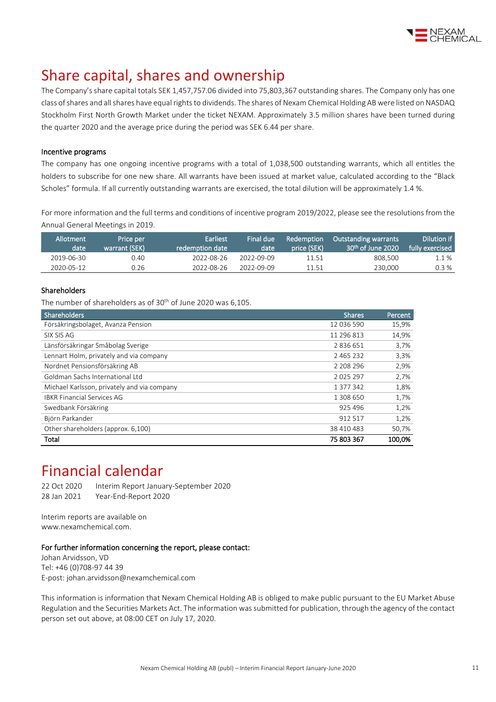

# Share capital, shares and ownership

The Company's share capital totals SEK 1,457,757.06 divided into 75,803,367 outstanding shares. The Company only has one class of shares and all shares have equal rights to dividends. The shares of Nexam Chemical Holding AB were listed on NASDAQ Stockholm First North Growth Market under the ticket NEXAM. Approximately 3.5 million shares have been turned during the quarter 2020 and the average price during the period was SEK 6.44 per share.

### Incentive programs

The company has one ongoing incentive programs with a total of 1,038,500 outstanding warrants, which all entitles the holders to subscribe for one new share. All warrants have been issued at market value, calculated according to the "Black Scholes" formula. If all currently outstanding warrants are exercised, the total dilution will be approximately 1.4 %.

For more information and the full terms and conditions of incentive program 2019/2022, please see the resolutions from the Annual General Meetings i[n 2019.](http://www.nexamchemical.com/secure/CMS/?language=en#context=epi.cms.contentdata:///245&viewsetting=active:///true)

| Allotment<br>date | Price per<br>warrant (SEK) | Earliest<br>redemption date | Final due<br>date | Redemption<br>price (SEK) | <b>Outstanding warrants</b><br>$30th$ of June 2020 | Dilution if<br>fully exercised |
|-------------------|----------------------------|-----------------------------|-------------------|---------------------------|----------------------------------------------------|--------------------------------|
| 2019-06-30        | 0.40                       | 2022-08-26                  | 2022-09-09        | 11.51                     | 808,500                                            | 1.1 %                          |
| 2020-05-12        | 0.26                       | 2022-08-26                  | 2022-09-09        | 11.51                     | 230,000                                            | 0.3 %                          |

## Shareholders

The number of shareholders as of 30<sup>th</sup> of June 2020 was 6,105.

| Shareholders                                | <b>Shares</b> | Percent |
|---------------------------------------------|---------------|---------|
| Försäkringsbolaget, Avanza Pension          | 12 036 590    | 15,9%   |
| SIX SIS AG                                  | 11 296 813    | 14,9%   |
| Länsförsäkringar Småbolag Sverige           | 2836651       | 3,7%    |
| Lennart Holm, privately and via company     | 2 4 6 5 2 3 2 | 3,3%    |
| Nordnet Pensionsförsäkring AB               | 2 208 296     | 2,9%    |
| Goldman Sachs International Ltd             | 2025297       | 2,7%    |
| Michael Karlsson, privately and via company | 1 377 342     | 1,8%    |
| <b>IBKR Financial Services AG</b>           | 1 308 650     | 1,7%    |
| Swedbank Försäkring                         | 925 496       | 1,2%    |
| Björn Parkander                             | 912 517       | 1,2%    |
| Other shareholders (approx. 6,100)          | 38 410 483    | 50,7%   |
| Total                                       | 75 803 367    | 100.0%  |

# Financial calendar

22 Oct 2020 Interim Report January-September 2020 28 Jan 2021 Year-End-Report 2020

Interim reports are available on www.nexamchemical.com.

### For further information concerning the report, please contact:

Johan Arvidsson, VD Tel: +46 (0)708-97 44 39 E-post: johan.arvidsson@nexamchemical.com

This information is information that Nexam Chemical Holding AB is obliged to make public pursuant to the EU Market Abuse Regulation and the Securities Markets Act. The information was submitted for publication, through the agency of the contact person set out above, at 08:00 CET on July 17, 2020.